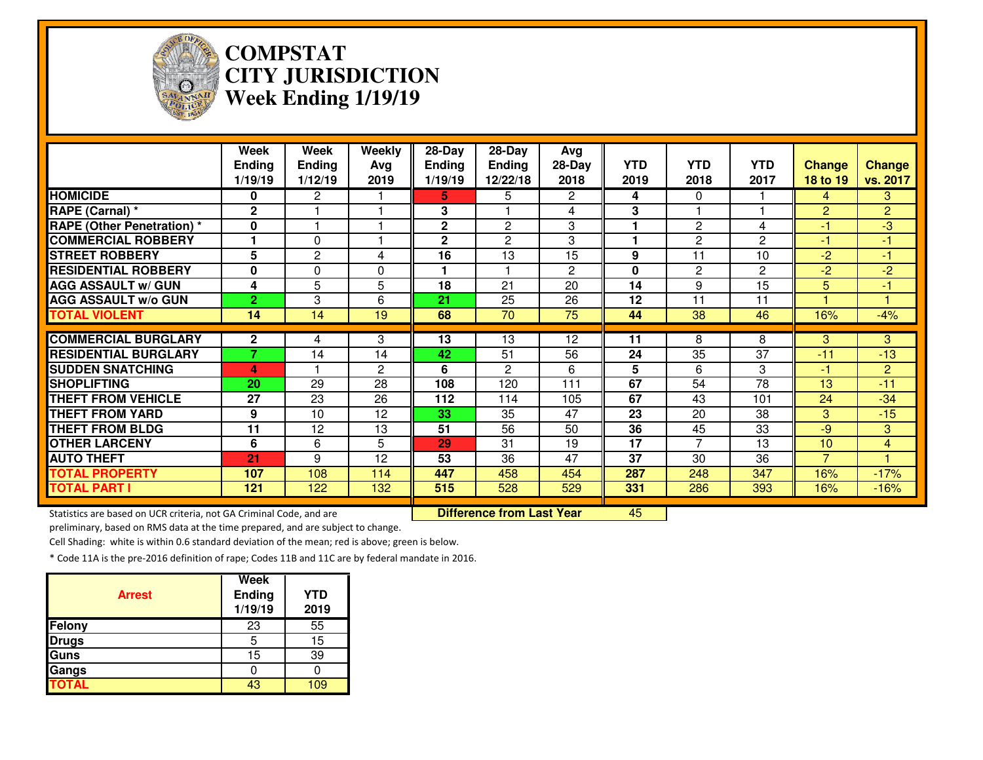

# **COMPSTAT CITY JURISDICTIONWeek Ending 1/19/19**

|                                                                     | Week<br><b>Ending</b><br>1/19/19 | Week<br><b>Ending</b><br>1/12/19 | <b>Weekly</b><br>Avg<br>2019 | $28 - Day$<br>Ending<br>1/19/19 | $28 - Day$<br><b>Ending</b><br>12/22/18 | Avg<br>$28-Day$<br>2018 | <b>YTD</b><br>2019 | <b>YTD</b><br>2018 | <b>YTD</b><br>2017 | <b>Change</b><br>18 to 19 | <b>Change</b><br>vs. 2017 |
|---------------------------------------------------------------------|----------------------------------|----------------------------------|------------------------------|---------------------------------|-----------------------------------------|-------------------------|--------------------|--------------------|--------------------|---------------------------|---------------------------|
| <b>HOMICIDE</b>                                                     | 0                                | 2                                |                              | 5.                              | 5                                       | 2                       | 4                  | $\Omega$           |                    | 4                         | 3                         |
| RAPE (Carnal) *                                                     | $\mathbf{2}$                     |                                  |                              | 3                               |                                         | 4                       | 3                  |                    |                    | $\overline{2}$            | $\overline{2}$            |
| <b>RAPE (Other Penetration) *</b>                                   | 0                                |                                  |                              | $\mathbf 2$                     | $\overline{2}$                          | 3                       |                    | $\overline{2}$     | 4                  | -1                        | $-3$                      |
| <b>COMMERCIAL ROBBERY</b>                                           |                                  | $\Omega$                         |                              | $\mathbf{2}$                    | 2                                       | 3                       |                    | $\mathbf{2}$       | $\overline{c}$     | -1                        | $-1$                      |
| <b>STREET ROBBERY</b>                                               | 5                                | $\overline{2}$                   | 4                            | $\overline{16}$                 | 13                                      | 15                      | 9                  | 11                 | 10                 | $-2$                      | -1                        |
| <b>RESIDENTIAL ROBBERY</b>                                          | $\bf{0}$                         | 0                                | $\Omega$                     |                                 |                                         | 2                       | $\mathbf{0}$       | $\mathbf{2}$       | $\overline{c}$     | $-2$                      | $-2$                      |
| <b>AGG ASSAULT W/ GUN</b>                                           | 4                                | 5                                | 5                            | 18                              | $\overline{21}$                         | $\overline{20}$         | 14                 | 9                  | 15                 | 5                         | Æ                         |
| <b>AGG ASSAULT W/o GUN</b>                                          | $\overline{2}$                   | 3                                | 6                            | 21                              | 25                                      | 26                      | 12                 | 11                 | 11                 |                           | и                         |
| <b>TOTAL VIOLENT</b>                                                | 14                               | 14                               | 19                           | 68                              | 70                                      | 75                      | 44                 | 38                 | 46                 | 16%                       | $-4%$                     |
| <b>COMMERCIAL BURGLARY</b>                                          |                                  |                                  |                              | 13                              | 13                                      |                         |                    | 8                  |                    |                           | 3                         |
|                                                                     | $\mathbf{2}$<br>7.               | 4                                | 3                            |                                 |                                         | 12                      | 11                 |                    | 8                  | 3                         |                           |
| <b>RESIDENTIAL BURGLARY</b>                                         |                                  | 14                               | 14                           | 42                              | 51                                      | 56                      | 24                 | 35                 | 37                 | $-11$                     | $-13$                     |
| <b>SUDDEN SNATCHING</b>                                             | 4                                |                                  | $\overline{c}$               | 6                               | $\overline{2}$                          | 6                       | 5                  | 6                  | 3                  | -1                        | $\overline{2}$            |
| <b>SHOPLIFTING</b>                                                  | 20                               | 29                               | 28                           | 108                             | 120                                     | 111                     | 67                 | 54                 | $\overline{78}$    | 13                        | $-11$                     |
| <b>THEFT FROM VEHICLE</b>                                           | 27                               | 23                               | 26                           | 112                             | 114                                     | 105                     | 67                 | 43                 | 101                | 24                        | $-34$                     |
| <b>THEFT FROM YARD</b>                                              | 9                                | 10                               | 12                           | 33                              | $\overline{35}$                         | 47                      | 23                 | 20                 | 38                 | 3                         | $-15$                     |
| <b>THEFT FROM BLDG</b>                                              | 11                               | 12                               | 13                           | 51                              | 56                                      | 50                      | 36                 | 45                 | 33                 | $-9$                      | 3                         |
| <b>OTHER LARCENY</b>                                                | 6                                | 6                                | 5                            | 29                              | 31                                      | 19                      | 17                 | $\overline{7}$     | 13                 | 10                        | 4                         |
| <b>AUTO THEFT</b>                                                   | 21                               | 9                                | 12                           | 53                              | 36                                      | 47                      | 37                 | 30                 | 36                 | $\overline{7}$            |                           |
| <b>TOTAL PROPERTY</b>                                               | 107                              | 108                              | 114                          | 447                             | 458                                     | 454                     | 287                | 248                | 347                | 16%                       | $-17%$                    |
| <b>TOTAL PART I</b>                                                 | 121                              | 122                              | 132                          | 515                             | 528                                     | 529                     | 331                | 286                | 393                | 16%                       | $-16%$                    |
|                                                                     |                                  |                                  |                              |                                 |                                         |                         |                    |                    |                    |                           |                           |
| Statistics are based on UCR criteria, not GA Criminal Code, and are |                                  |                                  |                              |                                 | <b>Difference from Last Year</b>        |                         | 45                 |                    |                    |                           |                           |

preliminary, based on RMS data at the time prepared, and are subject to change.

Cell Shading: white is within 0.6 standard deviation of the mean; red is above; green is below.

| <b>Arrest</b> | <b>Week</b><br><b>Ending</b><br>1/19/19 | <b>YTD</b><br>2019 |
|---------------|-----------------------------------------|--------------------|
| Felony        | 23                                      | 55                 |
| <b>Drugs</b>  | 5                                       | 15                 |
| Guns          | 15                                      | 39                 |
| Gangs         |                                         |                    |
| <b>TOTAL</b>  | 43                                      | ۱0۹                |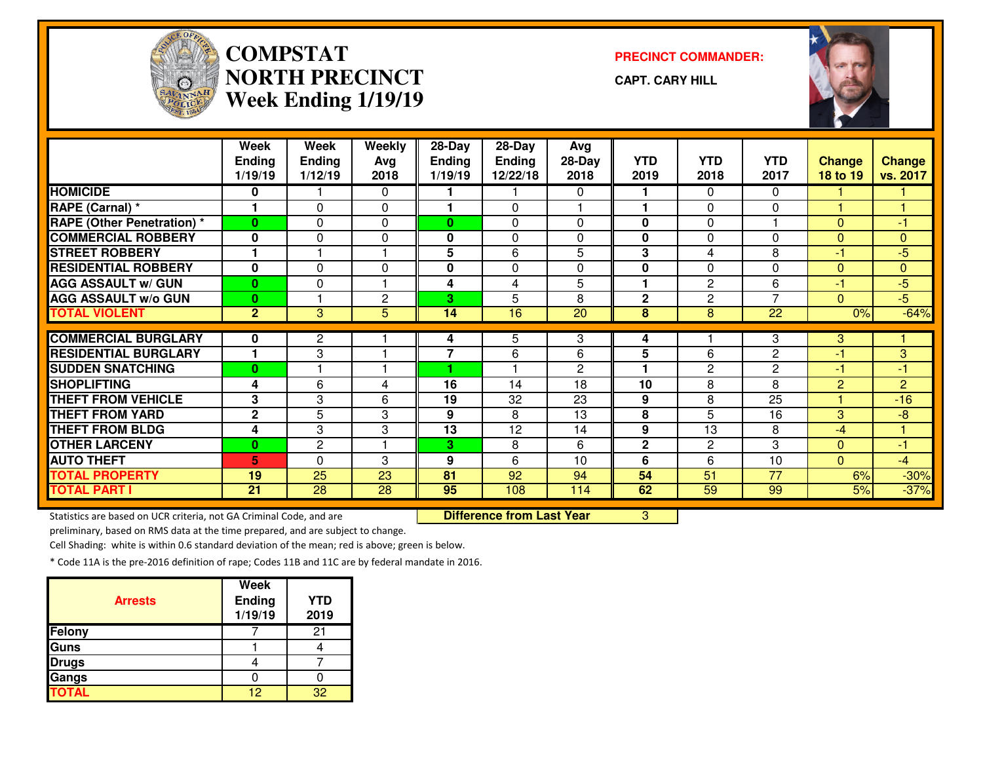

#### **COMPSTATNORTH PRECINCTWeek Ending 1/19/19**

**PRECINCT COMMANDER:**

**CAPT. CARY HILL**



|                                   | Week<br><b>Ending</b><br>1/19/19 | Week<br><b>Ending</b><br>1/12/19 | Weekly<br>Avg<br>2018 | 28-Day<br><b>Ending</b><br>1/19/19 | 28-Day<br>Ending<br>12/22/18 | Avg<br>$28-Day$<br>2018 | <b>YTD</b><br>2019 | <b>YTD</b><br>2018 | <b>YTD</b><br>2017 | <b>Change</b><br>18 to 19 | <b>Change</b><br>vs. 2017 |
|-----------------------------------|----------------------------------|----------------------------------|-----------------------|------------------------------------|------------------------------|-------------------------|--------------------|--------------------|--------------------|---------------------------|---------------------------|
| <b>HOMICIDE</b>                   | 0                                |                                  | $\Omega$              |                                    |                              | 0                       | 1                  | 0                  | $\mathbf{0}$       |                           |                           |
| RAPE (Carnal) *                   | ٠                                | $\Omega$                         | $\Omega$              | 1                                  | $\Omega$                     |                         | 1                  | 0                  | $\Omega$           |                           |                           |
| <b>RAPE (Other Penetration) *</b> | $\mathbf{0}$                     | $\Omega$                         | $\Omega$              | $\bf{0}$                           | $\Omega$                     | $\Omega$                | 0                  | 0                  |                    | $\Omega$                  | -1                        |
| <b>COMMERCIAL ROBBERY</b>         | $\bf{0}$                         | $\Omega$                         | $\Omega$              | 0                                  | $\Omega$                     | $\Omega$                | $\mathbf 0$        | $\Omega$           | $\Omega$           | $\Omega$                  | $\mathbf{0}$              |
| <b>STREET ROBBERY</b>             | ٠                                |                                  |                       | 5                                  | 6                            | 5                       | 3                  | 4                  | 8                  | -1                        | $-5$                      |
| <b>RESIDENTIAL ROBBERY</b>        | $\bf{0}$                         | $\Omega$                         | $\Omega$              | 0                                  | $\Omega$                     | $\Omega$                | $\bf{0}$           | $\Omega$           | $\Omega$           | $\Omega$                  | $\Omega$                  |
| <b>AGG ASSAULT W/ GUN</b>         | $\mathbf{0}$                     | $\Omega$                         |                       | 4                                  | 4                            | 5                       | 1                  | $\overline{c}$     | 6                  | -1                        | $-5$                      |
| <b>AGG ASSAULT w/o GUN</b>        | $\mathbf{0}$                     |                                  | $\overline{2}$        | 3                                  | 5                            | 8                       | $\overline{2}$     | $\overline{c}$     | $\overline{7}$     | $\Omega$                  | $-5$                      |
| <b>TOTAL VIOLENT</b>              | $\overline{2}$                   | 3                                | 5                     | 14                                 | 16                           | $\overline{20}$         | 8                  | 8                  | 22                 | 0%                        | $-64%$                    |
|                                   |                                  |                                  |                       |                                    |                              |                         |                    |                    |                    |                           |                           |
| <b>COMMERCIAL BURGLARY</b>        | $\bf{0}$                         | $\mathbf{2}$                     |                       | 4                                  | 5                            | 3                       | 4                  |                    | 3                  | 3                         |                           |
| <b>RESIDENTIAL BURGLARY</b>       |                                  | 3                                |                       | $\overline{7}$                     | 6                            | 6                       | 5                  | 6                  | $\overline{2}$     | -1                        | 3                         |
| <b>SUDDEN SNATCHING</b>           | $\mathbf{0}$                     |                                  |                       |                                    |                              | $\overline{c}$          | 1                  | 2                  | $\mathbf{2}$       | $-1$                      | $-1$                      |
| <b>SHOPLIFTING</b>                | 4                                | 6                                | 4                     | 16                                 | 14                           | 18                      | 10                 | 8                  | 8                  | $\overline{2}$            | $\overline{2}$            |
| <b>THEFT FROM VEHICLE</b>         | 3                                | 3                                | 6                     | 19                                 | 32                           | 23                      | 9                  | 8                  | 25                 |                           | $-16$                     |
| <b>THEFT FROM YARD</b>            | $\mathbf{2}$                     | 5                                | 3                     | 9                                  | 8                            | 13                      | 8                  | 5                  | 16                 | 3                         | $-8$                      |
| <b>THEFT FROM BLDG</b>            | 4                                | 3                                | 3                     | 13                                 | 12                           | 14                      | 9                  | 13                 | 8                  | -4                        |                           |
| <b>OTHER LARCENY</b>              | $\bf{0}$                         | $\mathbf{2}$                     |                       | 3                                  | 8                            | 6                       | $\mathbf{2}$       | 2                  | 3                  | $\Omega$                  | -1                        |
| <b>AUTO THEFT</b>                 | 5                                | $\Omega$                         | 3                     | 9                                  | 6                            | 10                      | 6                  | 6                  | 10                 | $\Omega$                  | $-4$                      |
| <b>TOTAL PROPERTY</b>             | 19                               | 25                               | 23                    | 81                                 | 92                           | 94                      | 54                 | 51                 | 77                 | 6%                        | $-30%$                    |
| <b>TOTAL PART I</b>               | 21                               | 28                               | 28                    | 95                                 | 108                          | 114                     | 62                 | 59                 | 99                 | 5%                        | $-37%$                    |

Statistics are based on UCR criteria, not GA Criminal Code, and are

Difference from Last Year 3

preliminary, based on RMS data at the time prepared, and are subject to change.

Cell Shading: white is within 0.6 standard deviation of the mean; red is above; green is below.

| <b>Arrests</b> | Week<br><b>Ending</b><br>1/19/19 | <b>YTD</b><br>2019 |
|----------------|----------------------------------|--------------------|
| Felony         |                                  | 2.                 |
| <b>Guns</b>    |                                  |                    |
| <b>Drugs</b>   |                                  |                    |
| Gangs          |                                  |                    |
| <b>TOTAL</b>   | 12                               | つつ                 |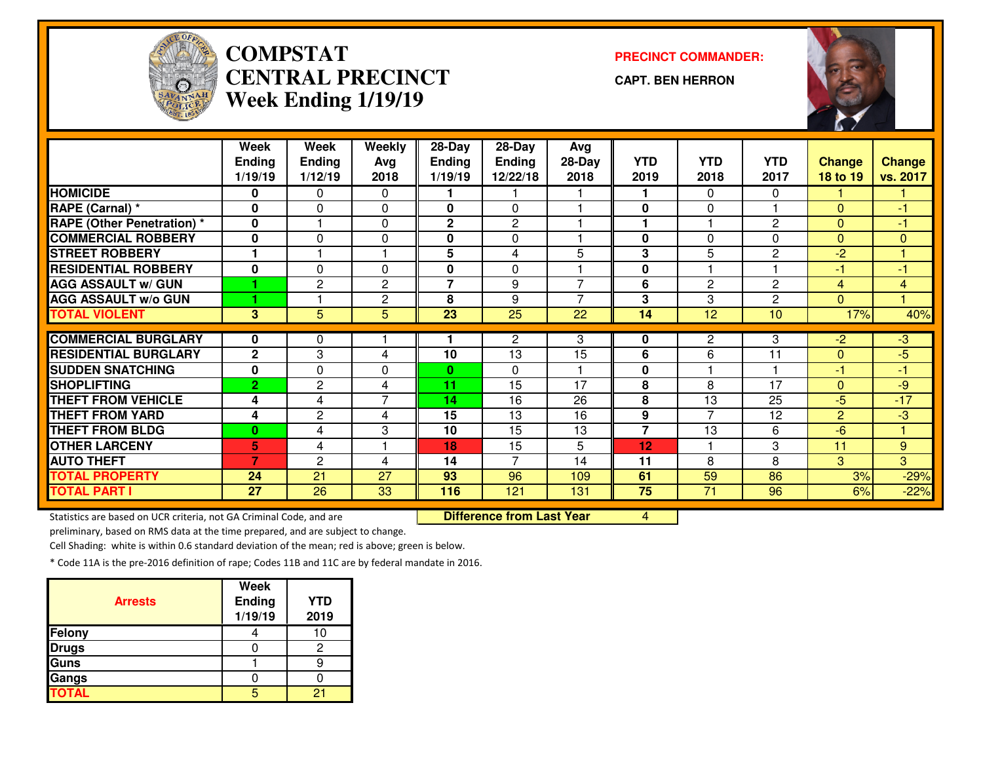

#### **COMPSTAT PRECINCT COMMANDER: CENTRAL PRECINCTWeek Ending 1/19/19**

**CAPT. BEN HERRON**



|                                   | Week           | Week           | Weekly         | 28-Day         | $28$ -Day      | Avg            |                |                |                |                |                |
|-----------------------------------|----------------|----------------|----------------|----------------|----------------|----------------|----------------|----------------|----------------|----------------|----------------|
|                                   | <b>Ending</b>  | <b>Ending</b>  | Avg            | <b>Ending</b>  | <b>Ending</b>  | $28-Day$       | <b>YTD</b>     | <b>YTD</b>     | <b>YTD</b>     | <b>Change</b>  | <b>Change</b>  |
|                                   | 1/19/19        | 1/12/19        | 2018           | 1/19/19        | 12/22/18       | 2018           | 2019           | 2018           | 2017           | 18 to 19       | vs. 2017       |
| <b>HOMICIDE</b>                   | 0              | 0              | $\mathbf 0$    |                |                |                |                | $\Omega$       | 0              |                |                |
| RAPE (Carnal) *                   | 0              | 0              | $\Omega$       | 0              | 0              |                | $\mathbf 0$    | $\Omega$       |                | $\Omega$       | $-1$           |
| <b>RAPE (Other Penetration) *</b> | 0              |                | 0              | $\mathbf 2$    | $\overline{c}$ |                |                |                | $\overline{2}$ | $\Omega$       | $\blacksquare$ |
| <b>COMMERCIAL ROBBERY</b>         | 0              | 0              | $\mathbf 0$    | 0              | 0              |                | $\mathbf{0}$   | $\Omega$       | $\Omega$       | $\Omega$       | $\mathbf{0}$   |
| <b>STREET ROBBERY</b>             | 1              |                | 1              | 5              | 4              | 5              | 3              | 5              | 2              | $-2$           | 1              |
| <b>RESIDENTIAL ROBBERY</b>        | $\bf{0}$       | $\Omega$       | $\Omega$       | 0              | $\Omega$       |                | $\mathbf{0}$   |                |                | $-1$           | -1             |
| <b>AGG ASSAULT w/ GUN</b>         |                | $\overline{c}$ | $\overline{c}$ | $\overline{7}$ | 9              | 7              | 6              | $\overline{2}$ | $\overline{c}$ | $\overline{4}$ | $\overline{4}$ |
| <b>AGG ASSAULT w/o GUN</b>        |                |                | $\overline{c}$ | 8              | 9              | $\overline{ }$ | 3              | 3              | 2              | $\Omega$       |                |
| <b>TOTAL VIOLENT</b>              | 3              | 5              | 5              | 23             | 25             | 22             | 14             | 12             | 10             | 17%            | 40%            |
|                                   |                |                |                |                |                |                |                |                |                |                |                |
| <b>COMMERCIAL BURGLARY</b>        | 0              | 0              |                |                | 2              | 3              | 0              | $\overline{2}$ | 3              | $-2$           | ل-<br>م        |
| <b>RESIDENTIAL BURGLARY</b>       | $\mathbf{2}$   | 3              | 4              | 10             | 13             | 15             | 6              | 6              | 11             | $\Omega$       | $-5$           |
| <b>SUDDEN SNATCHING</b>           | 0              | 0              | 0              | 0              | $\Omega$       |                | $\mathbf 0$    |                |                | -1             | -1             |
| <b>SHOPLIFTING</b>                | $\overline{2}$ | 2              | 4              | 11             | 15             | 17             | 8              | 8              | 17             | $\Omega$       | $-9$           |
| <b>THEFT FROM VEHICLE</b>         | 4              | 4              | $\overline{7}$ | 14             | 16             | 26             | 8              | 13             | 25             | $-5$           | $-17$          |
| <b>THEFT FROM YARD</b>            | 4              | 2              | 4              | 15             | 13             | 16             | 9              | $\overline{ }$ | 12             | $\overline{2}$ | -3             |
| <b>THEFT FROM BLDG</b>            | $\bf{0}$       | 4              | 3              | 10             | 15             | 13             | $\overline{7}$ | 13             | 6              | -6             |                |
| <b>OTHER LARCENY</b>              | 5              | 4              |                | 18             | 15             | 5              | 12             |                | 3              | 11             | 9              |
| <b>AUTO THEFT</b>                 | 7              | $\mathbf{2}$   | 4              | 14             | $\overline{7}$ | 14             | 11             | 8              | 8              | 3              | $\overline{3}$ |
| <b>TOTAL PROPERTY</b>             | 24             | 21             | 27             | 93             | 96             | 109            | 61             | 59             | 86             | 3%             | $-29%$         |
| <b>TOTAL PART I</b>               | 27             | 26             | 33             | 116            | 121            | 131            | 75             | 71             | 96             | 6%             | $-22%$         |

Statistics are based on UCR criteria, not GA Criminal Code, and are

Difference from Last Year 4

preliminary, based on RMS data at the time prepared, and are subject to change.

Cell Shading: white is within 0.6 standard deviation of the mean; red is above; green is below.

| <b>Arrests</b> | <b>Week</b><br><b>Ending</b><br>1/19/19 | <b>YTD</b><br>2019 |
|----------------|-----------------------------------------|--------------------|
| Felony         |                                         |                    |
| <b>Drugs</b>   |                                         |                    |
| Guns           |                                         |                    |
| Gangs          |                                         |                    |
| <b>TOTAL</b>   |                                         | 2                  |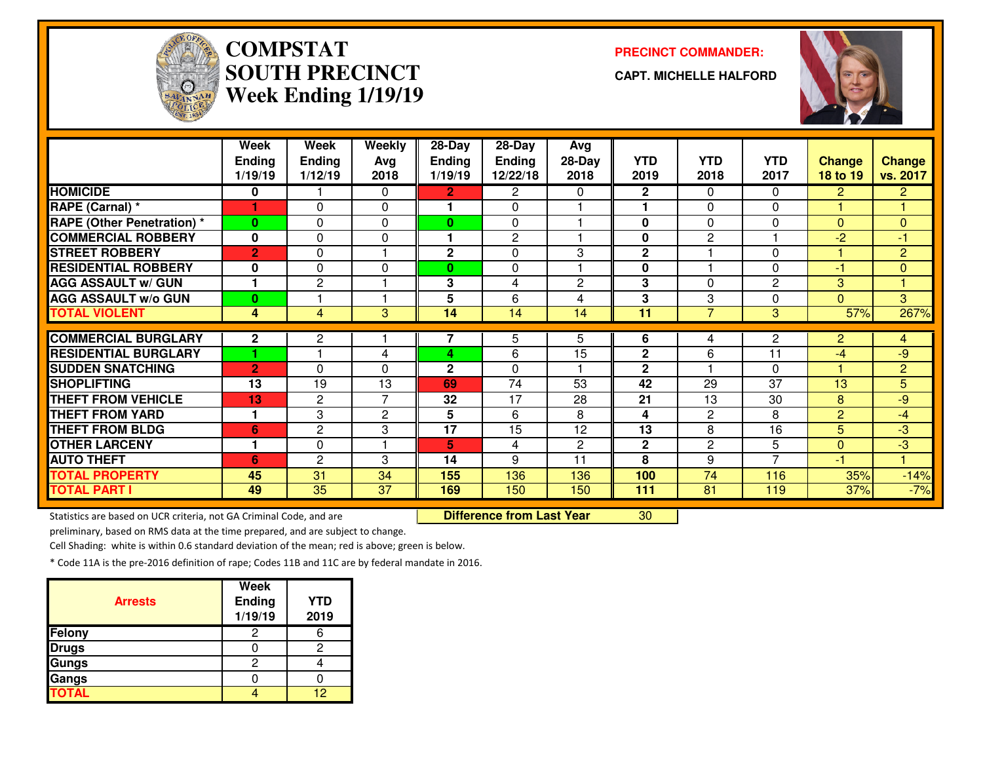

## **COMPSTAT PRECINCT COMMANDER: SOUTH PRECINCTWeek Ending 1/19/19**

**CAPT. MICHELLE HALFORD**



|                                   | Week<br><b>Ending</b><br>1/19/19 | Week<br><b>Ending</b><br>1/12/19 | Weekly<br>Avg<br>2018 | 28-Day<br><b>Ending</b><br>1/19/19 | 28-Day<br><b>Ending</b><br>12/22/18 | Avg<br>$28-Day$<br>2018 | <b>YTD</b><br>2019 | <b>YTD</b><br>2018 | <b>YTD</b><br>2017 | <b>Change</b><br>18 to 19 | <b>Change</b><br>vs. 2017 |
|-----------------------------------|----------------------------------|----------------------------------|-----------------------|------------------------------------|-------------------------------------|-------------------------|--------------------|--------------------|--------------------|---------------------------|---------------------------|
| <b>HOMICIDE</b>                   | 0                                |                                  | 0                     | $\mathbf{2}$                       | 2                                   | 0                       | 2                  | $\Omega$           | $\mathbf{0}$       | $\overline{2}$            | $\overline{2}$            |
| RAPE (Carnal) *                   |                                  | $\Omega$                         | $\Omega$              | 1                                  | 0                                   |                         |                    | $\Omega$           | $\Omega$           |                           | 1                         |
| <b>RAPE (Other Penetration) *</b> | $\bf{0}$                         | 0                                | $\Omega$              | $\mathbf{0}$                       | 0                                   |                         | 0                  | $\Omega$           | $\Omega$           | $\Omega$                  | $\mathbf{0}$              |
| <b>COMMERCIAL ROBBERY</b>         | $\mathbf 0$                      | 0                                | $\Omega$              | 1.                                 | $\mathbf{2}$                        |                         | 0                  | $\overline{2}$     |                    | $-2$                      | -1                        |
| <b>STREET ROBBERY</b>             | $\overline{2}$                   | 0                                |                       | $\mathbf{2}$                       | $\Omega$                            | 3                       | $\mathbf 2$        |                    | $\Omega$           |                           | $\overline{2}$            |
| <b>RESIDENTIAL ROBBERY</b>        | $\mathbf 0$                      | 0                                | $\Omega$              | 0                                  | 0                                   |                         | $\mathbf 0$        |                    | $\Omega$           | $-1$                      | $\mathbf{0}$              |
| <b>AGG ASSAULT w/ GUN</b>         |                                  | $\overline{c}$                   |                       | 3                                  | 4                                   | 2                       | 3                  | $\Omega$           | $\overline{c}$     | 3                         |                           |
| <b>AGG ASSAULT W/o GUN</b>        | $\bf{0}$                         |                                  |                       | 5                                  | 6                                   | 4                       | 3                  | 3                  | $\Omega$           | $\Omega$                  | 3                         |
| <b>TOTAL VIOLENT</b>              | 4                                | 4                                | 3                     | 14                                 | 14                                  | 14                      | 11                 | $\overline{7}$     | 3                  | 57%                       | 267%                      |
| <b>COMMERCIAL BURGLARY</b>        | $\mathbf{2}$                     | $\mathbf{2}$                     |                       | 7                                  | 5                                   | 5.                      | 6                  | 4                  | $\overline{2}$     | $\overline{2}$            | $\overline{4}$            |
| <b>RESIDENTIAL BURGLARY</b>       |                                  |                                  | 4                     | 4                                  | 6                                   | 15                      | $\mathbf{2}$       | 6                  | 11                 | $-4$                      | $-9$                      |
| <b>SUDDEN SNATCHING</b>           | $\overline{2}$                   | $\Omega$                         | 0                     | $\mathbf{2}$                       | 0                                   |                         | $\mathbf{2}$       |                    | $\Omega$           |                           | $\overline{2}$            |
| <b>SHOPLIFTING</b>                | 13                               | 19                               | 13                    | 69                                 | 74                                  | 53                      | 42                 | 29                 | 37                 | 13                        | 5                         |
| <b>THEFT FROM VEHICLE</b>         | 13                               | $\overline{c}$                   | 7                     | 32                                 | 17                                  | 28                      | 21                 | 13                 | 30                 | 8                         | $-9$                      |
| <b>THEFT FROM YARD</b>            | $\mathbf 1$                      | 3                                | $\overline{2}$        | 5                                  | 6                                   | 8                       | 4                  | $\overline{2}$     | 8                  | $\overline{2}$            | $-4$                      |
| <b>THEFT FROM BLDG</b>            | 6                                | $\overline{c}$                   | 3                     | 17                                 | 15                                  | 12                      | 13                 | 8                  | 16                 | 5                         | $-3$                      |
|                                   |                                  |                                  |                       |                                    |                                     |                         |                    |                    |                    |                           |                           |
| <b>OTHER LARCENY</b>              |                                  | 0                                |                       | 5                                  | 4                                   | $\overline{c}$          | $\mathbf{2}$       | $\overline{2}$     | 5                  | $\Omega$                  | $-3$                      |
| <b>AUTO THEFT</b>                 | 6                                | $\overline{c}$                   | 3                     | 14                                 | 9                                   | 11                      | 8                  | 9                  | $\overline{7}$     | $-1$                      |                           |
| <b>TOTAL PROPERTY</b>             | 45                               | 31                               | 34                    | 155                                | 136                                 | 136                     | 100                | 74                 | 116                | 35%                       |                           |
| <b>TOTAL PART I</b>               | 49                               | 35                               | 37                    | 169                                | 150                                 | 150                     | 111                | 81                 | 119                | 37%                       | $-14%$<br>$-7%$           |

preliminary, based on RMS data at the time prepared, and are subject to change.

Cell Shading: white is within 0.6 standard deviation of the mean; red is above; green is below.

| <b>Arrests</b> | Week<br><b>Ending</b><br>1/19/19 | <b>YTD</b><br>2019 |
|----------------|----------------------------------|--------------------|
| Felony         |                                  |                    |
| <b>Drugs</b>   |                                  | 2                  |
| Gungs          |                                  |                    |
| Gangs          |                                  |                    |
| <b>TOTAL</b>   |                                  | 12                 |